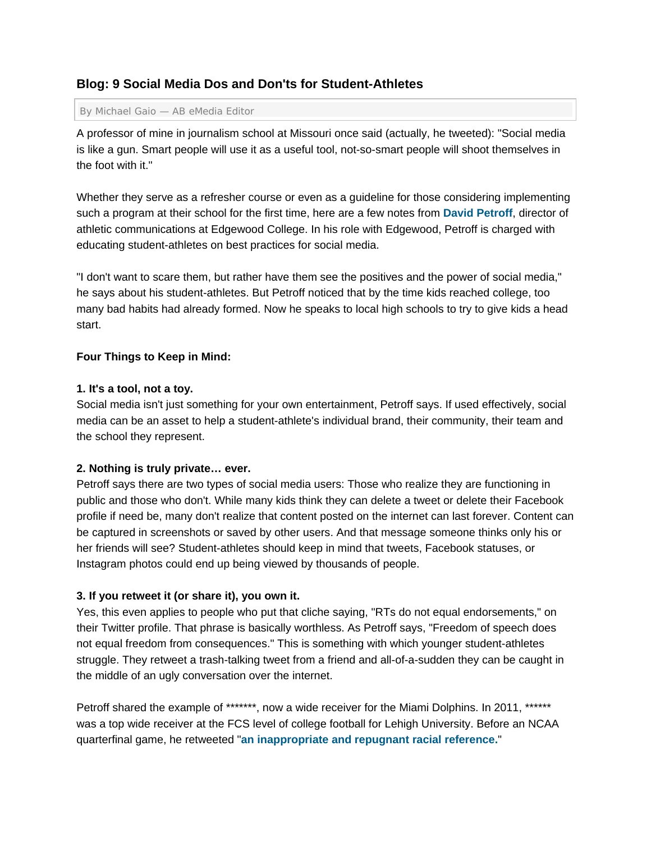# **Blog: 9 Social Media Dos and Don'ts for Student-Athletes**

#### By Michael Gaio — AB eMedia Editor

A professor of mine in journalism school at Missouri once said (actually, he tweeted): "Social media is like a gun. Smart people will use it as a useful tool, not-so-smart people will shoot themselves in the foot with it."

Whether they serve as a refresher course or even as a guideline for those considering implementing such a program at their school for the first time, here are a few notes from **David Petroff**, director of athletic communications at Edgewood College. In his role with Edgewood, Petroff is charged with educating student-athletes on best practices for social media.

"I don't want to scare them, but rather have them see the positives and the power of social media," he says about his student-athletes. But Petroff noticed that by the time kids reached college, too many bad habits had already formed. Now he speaks to local high schools to try to give kids a head start.

### **Four Things to Keep in Mind:**

### **1. It's a tool, not a toy.**

Social media isn't just something for your own entertainment, Petroff says. If used effectively, social media can be an asset to help a student-athlete's individual brand, their community, their team and the school they represent.

# **2. Nothing is truly private… ever.**

Petroff says there are two types of social media users: Those who realize they are functioning in public and those who don't. While many kids think they can delete a tweet or delete their Facebook profile if need be, many don't realize that content posted on the internet can last forever. Content can be captured in screenshots or saved by other users. And that message someone thinks only his or her friends will see? Student-athletes should keep in mind that tweets, Facebook statuses, or Instagram photos could end up being viewed by thousands of people.

# **3. If you retweet it (or share it), you own it.**

Yes, this even applies to people who put that cliche saying, "RTs do not equal endorsements," on their Twitter profile. That phrase is basically worthless. As Petroff says, "Freedom of speech does not equal freedom from consequences." This is something with which younger student-athletes struggle. They retweet a trash-talking tweet from a friend and all-of-a-sudden they can be caught in the middle of an ugly conversation over the internet.

Petroff shared the example of \*\*\*\*\*\*\*, now a wide receiver for the Miami Dolphins. In 2011. \*\*\*\*\*\* was a top wide receiver at the FCS level of college football for Lehigh University. Before an NCAA quarterfinal game, he retweeted "**an inappropriate and repugnant racial reference.**"